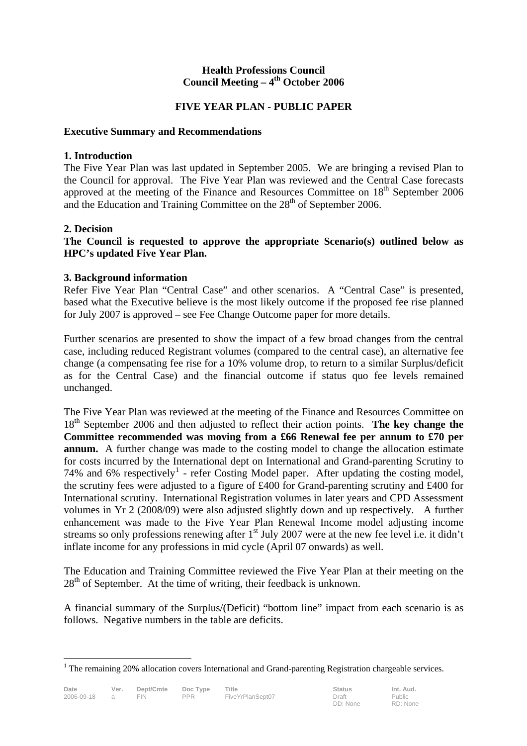### **Health Professions Council**  Council Meeting – 4<sup>th</sup> October 2006

# **FIVE YEAR PLAN - PUBLIC PAPER**

### **Executive Summary and Recommendations**

### **1. Introduction**

The Five Year Plan was last updated in September 2005. We are bringing a revised Plan to the Council for approval. The Five Year Plan was reviewed and the Central Case forecasts approved at the meeting of the Finance and Resources Committee on  $18<sup>th</sup>$  September 2006 and the Education and Training Committee on the  $28<sup>th</sup>$  of September 2006.

### **2. Decision**

 $\overline{a}$ 

**The Council is requested to approve the appropriate Scenario(s) outlined below as HPC's updated Five Year Plan.** 

### **3. Background information**

Refer Five Year Plan "Central Case" and other scenarios. A "Central Case" is presented, based what the Executive believe is the most likely outcome if the proposed fee rise planned for July 2007 is approved – see Fee Change Outcome paper for more details.

Further scenarios are presented to show the impact of a few broad changes from the central case, including reduced Registrant volumes (compared to the central case), an alternative fee change (a compensating fee rise for a 10% volume drop, to return to a similar Surplus/deficit as for the Central Case) and the financial outcome if status quo fee levels remained unchanged.

The Five Year Plan was reviewed at the meeting of the Finance and Resources Committee on 18th September 2006 and then adjusted to reflect their action points. **The key change the Committee recommended was moving from a £66 Renewal fee per annum to £70 per annum.** A further change was made to the costing model to change the allocation estimate for costs incurred by the International dept on International and Grand-parenting Scrutiny to 74% and  $6\%$  respectively<sup>1</sup> - refer Costing Model paper. After updating the costing model, the scrutiny fees were adjusted to a figure of £400 for Grand-parenting scrutiny and £400 for International scrutiny. International Registration volumes in later years and CPD Assessment volumes in Yr 2 (2008/09) were also adjusted slightly down and up respectively. A further enhancement was made to the Five Year Plan Renewal Income model adjusting income streams so only professions renewing after  $1<sup>st</sup>$  July 2007 were at the new fee level i.e. it didn't inflate income for any professions in mid cycle (April 07 onwards) as well.

The Education and Training Committee reviewed the Five Year Plan at their meeting on the  $28<sup>th</sup>$  of September. At the time of writing, their feedback is unknown.

A financial summary of the Surplus/(Deficit) "bottom line" impact from each scenario is as follows. Negative numbers in the table are deficits.

<sup>&</sup>lt;sup>1</sup> The remaining 20% allocation covers International and Grand-parenting Registration chargeable services.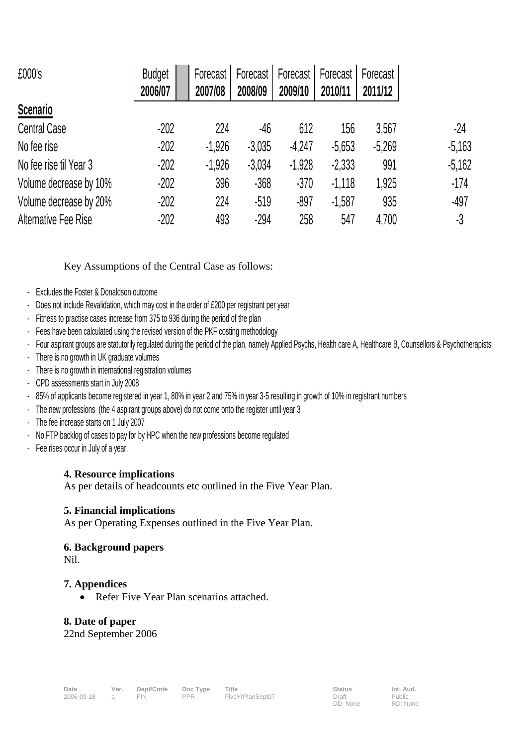| £000's                 | <b>Budget</b> | Forecast | Forecast | Forecast | Forecast | Forecast |          |
|------------------------|---------------|----------|----------|----------|----------|----------|----------|
|                        | 2006/07       | 2007/08  | 2008/09  | 2009/10  | 2010/11  | 2011/12  |          |
| <b>Scenario</b>        |               |          |          |          |          |          |          |
| <b>Central Case</b>    | $-202$        | 224      | -46      | 612      | 156      | 3,567    | $-24$    |
| No fee rise            | $-202$        | $-1,926$ | $-3,035$ | $-4,247$ | $-5,653$ | $-5,269$ | $-5,163$ |
| No fee rise til Year 3 | $-202$        | $-1,926$ | $-3,034$ | $-1,928$ | $-2,333$ | 991      | $-5,162$ |
| Volume decrease by 10% | $-202$        | 396      | $-368$   | $-370$   | $-1,118$ | 1,925    | $-174$   |
| Volume decrease by 20% | $-202$        | 224      | $-519$   | $-897$   | $-1,587$ | 935      | $-497$   |
| Alternative Fee Rise   | $-202$        | 493      | $-294$   | 258      | 547      | 4,700    | -3       |

Key Assumptions of the Central Case as follows:

- Excludes the Foster & Donaldson outcome
- Does not include Revalidation, which may cost in the order of £200 per registrant per year
- Fitness to practise cases increase from 375 to 936 during the period of the plan
- Fees have been calculated using the revised version of the PKF costing methodology
- Four aspirant groups are statutorily regulated during the period of the plan, namely Applied Psychs, Health care A, Healthcare B, Counsellors & Psychotherapists
- There is no growth in UK graduate volumes
- There is no growth in international registration volumes
- CPD assessments start in July 2008
- 85% of applicants become registered in year 1, 80% in year 2 and 75% in year 3-5 resulting in growth of 10% in registrant numbers
- The new professions (the 4 aspirant groups above) do not come onto the register until year 3
- The fee increase starts on 1 July 2007
- No FTP backlog of cases to pay for by HPC when the new professions become regulated
- Fee rises occur in July of a year.

# **4. Resource implications**

As per details of headcounts etc outlined in the Five Year Plan.

### **5. Financial implications**

As per Operating Expenses outlined in the Five Year Plan.

# **6. Background papers**

Nil.

### **7. Appendices**

• Refer Five Year Plan scenarios attached.

# **8. Date of paper**

22nd September 2006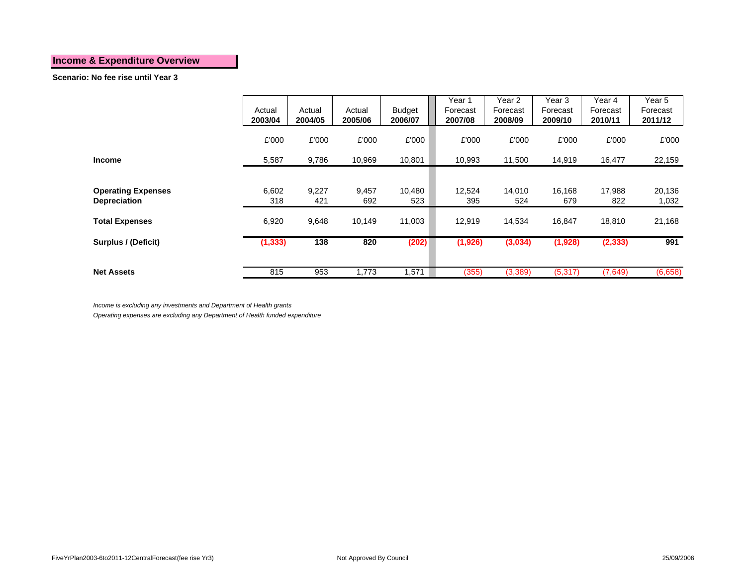#### **Scenario: No fee rise until Year 3**

|                                                  | Actual<br>2003/04 | Actual<br>2004/05 | Actual<br>2005/06 | <b>Budget</b><br>2006/07 | Year 1<br>Forecast<br>2007/08 | Year 2<br>Forecast<br>2008/09 | Year 3<br>Forecast<br>2009/10 | Year 4<br>Forecast<br>2010/11 | Year 5<br>Forecast<br>2011/12 |
|--------------------------------------------------|-------------------|-------------------|-------------------|--------------------------|-------------------------------|-------------------------------|-------------------------------|-------------------------------|-------------------------------|
|                                                  | £'000             | £'000             | £'000             | £'000                    | £'000                         | £'000                         | £'000                         | £'000                         | £'000                         |
| <b>Income</b>                                    | 5,587             | 9,786             | 10,969            | 10,801                   | 10,993                        | 11,500                        | 14,919                        | 16,477                        | 22,159                        |
| <b>Operating Expenses</b><br><b>Depreciation</b> | 6,602<br>318      | 9,227<br>421      | 9,457<br>692      | 10,480<br>523            | 12,524<br>395                 | 14,010<br>524                 | 16,168<br>679                 | 17,988<br>822                 | 20,136<br>1,032               |
| <b>Total Expenses</b>                            | 6,920             | 9,648             | 10,149            | 11,003                   | 12,919                        | 14,534                        | 16,847                        | 18,810                        | 21,168                        |
| Surplus / (Deficit)                              | (1, 333)          | 138               | 820               | (202)                    | (1, 926)                      | (3,034)                       | (1,928)                       | (2, 333)                      | 991                           |
| <b>Net Assets</b>                                | 815               | 953               | 1,773             | 1,571                    | (355)                         | (3,389)                       | (5,317)                       | (7,649)                       | (6,658)                       |

*Income is excluding any investments and Department of Health grants*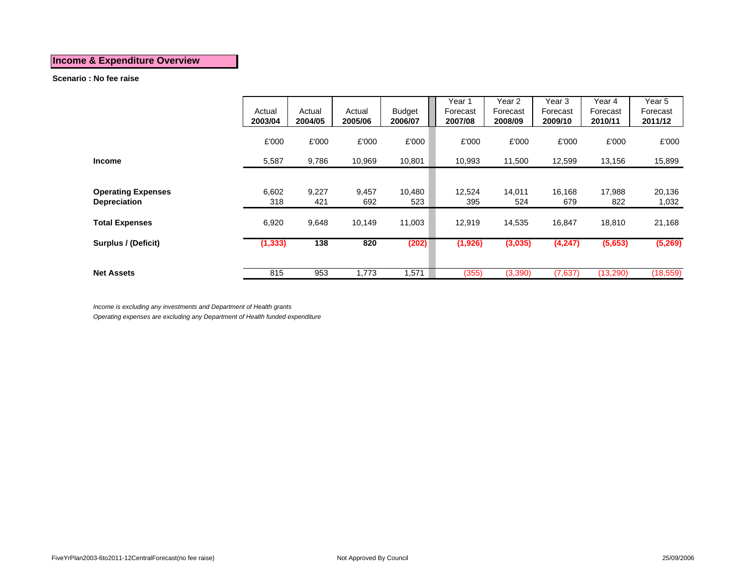#### **Scenario : No fee raise**

|                                                  | Actual<br>2003/04 | Actual<br>2004/05 | Actual<br>2005/06 | <b>Budget</b><br>2006/07 | Year 1<br>Forecast<br>2007/08 | Year 2<br>Forecast<br>2008/09 | Year 3<br>Forecast<br>2009/10 | Year 4<br>Forecast<br>2010/11 | Year 5<br>Forecast<br>2011/12 |
|--------------------------------------------------|-------------------|-------------------|-------------------|--------------------------|-------------------------------|-------------------------------|-------------------------------|-------------------------------|-------------------------------|
|                                                  | £'000             | £'000             | £'000             | £'000                    | £'000                         | £'000                         | £'000                         | £'000                         | £'000                         |
| <b>Income</b>                                    | 5,587             | 9,786             | 10,969            | 10,801                   | 10,993                        | 11,500                        | 12,599                        | 13,156                        | 15,899                        |
|                                                  |                   |                   |                   |                          |                               |                               |                               |                               |                               |
| <b>Operating Expenses</b><br><b>Depreciation</b> | 6,602<br>318      | 9,227<br>421      | 9,457<br>692      | 10,480<br>523            | 12,524<br>395                 | 14,011<br>524                 | 16,168<br>679                 | 17,988<br>822                 | 20,136<br>1,032               |
| <b>Total Expenses</b>                            | 6,920             | 9,648             | 10,149            | 11,003                   | 12,919                        | 14,535                        | 16,847                        | 18,810                        | 21,168                        |
| Surplus / (Deficit)                              | (1, 333)          | 138               | 820               | (202)                    | (1,926)                       | (3,035)                       | (4,247)                       | (5,653)                       | (5,269)                       |
|                                                  |                   |                   |                   |                          |                               |                               |                               |                               |                               |
| <b>Net Assets</b>                                | 815               | 953               | 1,773             | 1,571                    | (355)                         | (3,390)                       | (7,637)                       | (13,290)                      | (18, 559)                     |

*Income is excluding any investments and Department of Health grants*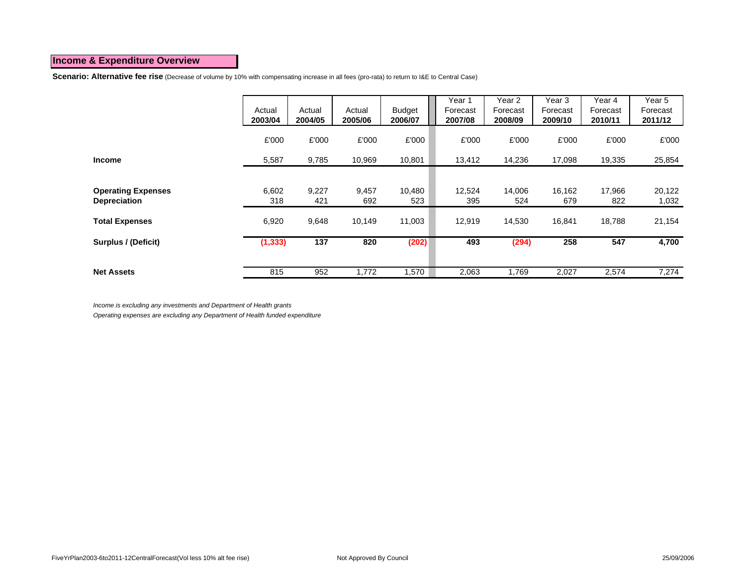**Scenario: Alternative fee rise** (Decrease of volume by 10% with compensating increase in all fees (pro-rata) to return to I&E to Central Case)

|                           | Actual<br>2003/04 | Actual<br>2004/05 | Actual<br>2005/06 | <b>Budget</b><br>2006/07 | Year 1<br>Forecast<br>2007/08 | Year 2<br>Forecast<br>2008/09 | Year 3<br>Forecast<br>2009/10 | Year 4<br>Forecast<br>2010/11 | Year 5<br>Forecast<br>2011/12 |
|---------------------------|-------------------|-------------------|-------------------|--------------------------|-------------------------------|-------------------------------|-------------------------------|-------------------------------|-------------------------------|
|                           | £'000             | £'000             | £'000             | £'000                    | £'000                         | £'000                         | £'000                         | £'000                         | £'000                         |
| <b>Income</b>             | 5,587             | 9,785             | 10,969            | 10,801                   | 13,412                        | 14,236                        | 17,098                        | 19,335                        | 25,854                        |
|                           |                   |                   |                   |                          |                               |                               |                               |                               |                               |
| <b>Operating Expenses</b> | 6,602<br>318      | 9,227<br>421      | 9,457<br>692      | 10,480<br>523            | 12,524<br>395                 | 14,006<br>524                 | 16,162<br>679                 | 17,966<br>822                 | 20,122                        |
| <b>Depreciation</b>       |                   |                   |                   |                          |                               |                               |                               |                               | 1,032                         |
| <b>Total Expenses</b>     | 6,920             | 9,648             | 10,149            | 11,003                   | 12,919                        | 14,530                        | 16,841                        | 18.788                        | 21,154                        |
| Surplus / (Deficit)       | (1, 333)          | 137               | 820               | (202)                    | 493                           | (294)                         | 258                           | 547                           | 4,700                         |
|                           |                   |                   |                   |                          |                               |                               |                               |                               |                               |
| <b>Net Assets</b>         | 815               | 952               | 1,772             | 1,570                    | 2,063                         | 1,769                         | 2,027                         | 2,574                         | 7,274                         |

*Income is excluding any investments and Department of Health grants*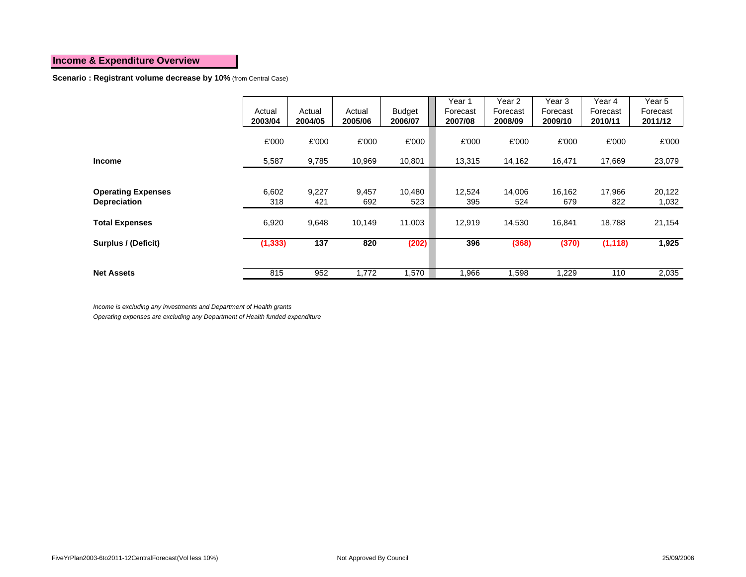**Scenario : Registrant volume decrease by 10%** (from Central Case)

|                                                  | Actual<br>2003/04 | Actual<br>2004/05 | Actual<br>2005/06 | <b>Budget</b><br>2006/07 | Year 1<br>Forecast<br>2007/08 | Year 2<br>Forecast<br>2008/09 | Year 3<br>Forecast<br>2009/10 | Year 4<br>Forecast<br>2010/11 | Year 5<br>Forecast<br>2011/12 |
|--------------------------------------------------|-------------------|-------------------|-------------------|--------------------------|-------------------------------|-------------------------------|-------------------------------|-------------------------------|-------------------------------|
|                                                  | £'000             | £'000             | £'000             | £'000                    | £'000                         | £'000                         | £'000                         | £'000                         | £'000                         |
| <b>Income</b>                                    | 5,587             | 9,785             | 10,969            | 10,801                   | 13,315                        | 14,162                        | 16,471                        | 17,669                        | 23,079                        |
|                                                  |                   |                   |                   |                          |                               |                               |                               |                               |                               |
| <b>Operating Expenses</b><br><b>Depreciation</b> | 6,602<br>318      | 9,227<br>421      | 9,457<br>692      | 10,480<br>523            | 12,524<br>395                 | 14,006<br>524                 | 16,162<br>679                 | 17,966<br>822                 | 20,122<br>1,032               |
|                                                  |                   |                   |                   |                          |                               |                               |                               |                               |                               |
| <b>Total Expenses</b>                            | 6,920             | 9,648             | 10,149            | 11,003                   | 12,919                        | 14,530                        | 16,841                        | 18,788                        | 21,154                        |
| Surplus / (Deficit)                              | (1, 333)          | 137               | 820               | (202)                    | 396                           | (368)                         | (370)                         | (1, 118)                      | 1,925                         |
|                                                  |                   |                   |                   |                          |                               |                               |                               |                               |                               |
| <b>Net Assets</b>                                | 815               | 952               | 1,772             | 1,570                    | 966. ا                        | 1,598                         | 1,229                         | 110                           | 2,035                         |

*Income is excluding any investments and Department of Health grants*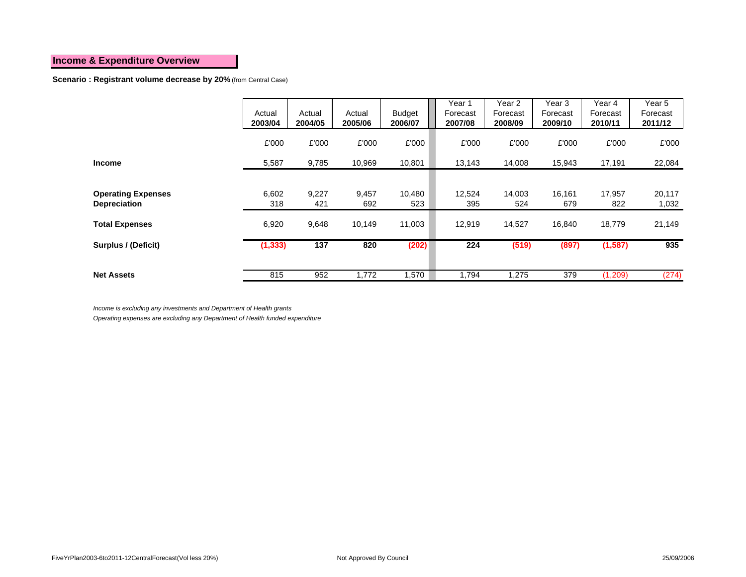**Scenario : Registrant volume decrease by 20%** (from Central Case)

|                                                  | Actual<br>2003/04 | Actual<br>2004/05 | Actual<br>2005/06 | <b>Budget</b><br>2006/07 | Year 1<br>Forecast<br>2007/08 | Year 2<br>Forecast<br>2008/09 | Year 3<br>Forecast<br>2009/10 | Year 4<br>Forecast<br>2010/11 | Year 5<br>Forecast<br>2011/12 |
|--------------------------------------------------|-------------------|-------------------|-------------------|--------------------------|-------------------------------|-------------------------------|-------------------------------|-------------------------------|-------------------------------|
|                                                  | £'000             | £'000             | £'000             | £'000                    | £'000                         | £'000                         | £'000                         | £'000                         | £'000                         |
| <b>Income</b>                                    | 5,587             | 9,785             | 10,969            | 10,801                   | 13,143                        | 14,008                        | 15,943                        | 17,191                        | 22,084                        |
|                                                  |                   |                   |                   |                          |                               |                               |                               |                               |                               |
| <b>Operating Expenses</b><br><b>Depreciation</b> | 6,602<br>318      | 9,227<br>421      | 9,457<br>692      | 10,480<br>523            | 12,524<br>395                 | 14,003<br>524                 | 16,161<br>679                 | 17,957<br>822                 | 20,117<br>1,032               |
| <b>Total Expenses</b>                            | 6,920             | 9,648             | 10,149            | 11,003                   | 12,919                        | 14,527                        | 16,840                        | 18,779                        | 21,149                        |
| Surplus / (Deficit)                              | (1, 333)          | 137               | 820               | (202)                    | 224                           | (519)                         | (897)                         | (1, 587)                      | 935                           |
|                                                  |                   |                   |                   |                          |                               |                               |                               |                               |                               |
| <b>Net Assets</b>                                | 815               | 952               | 1,772             | 1,570                    | 1,794                         | 1,275                         | 379                           | (1,209)                       | (274)                         |

*Income is excluding any investments and Department of Health grants*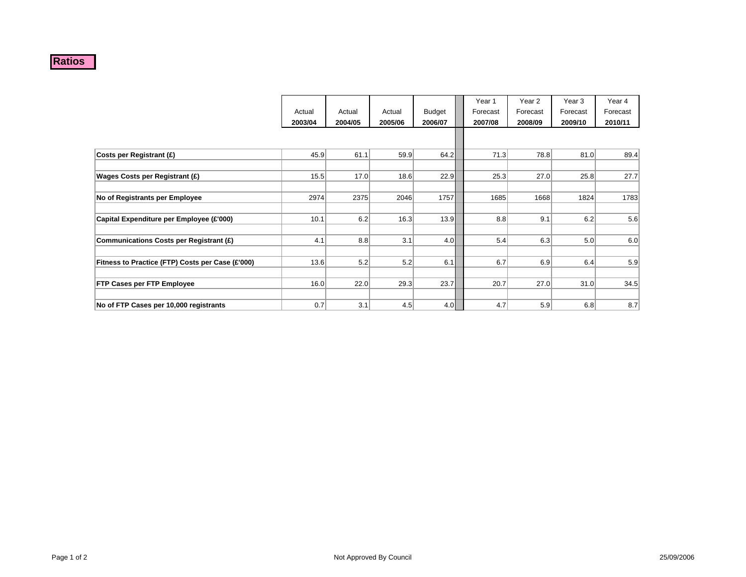#### **Ratios**

|                                                  |                  |         |         |               | Year 1   | Year 2   | Year <sub>3</sub> | Year 4   |
|--------------------------------------------------|------------------|---------|---------|---------------|----------|----------|-------------------|----------|
|                                                  | Actual           | Actual  | Actual  | <b>Budget</b> | Forecast | Forecast | Forecast          | Forecast |
|                                                  | 2003/04          | 2004/05 | 2005/06 | 2006/07       | 2007/08  | 2008/09  | 2009/10           | 2010/11  |
|                                                  |                  |         |         |               |          |          |                   |          |
| Costs per Registrant (£)                         | 45.9             | 61.1    | 59.9    | 64.2          | 71.3     | 78.8     | 81.0              | 89.4     |
|                                                  |                  |         |         |               |          |          |                   |          |
| Wages Costs per Registrant (£)                   | 15.5             | 17.0    | 18.6    | 22.9          | 25.3     | 27.0     | 25.8              | 27.7     |
|                                                  |                  |         |         |               |          |          |                   |          |
| No of Registrants per Employee                   | 2974             | 2375    | 2046    | 1757          | 1685     | 1668     | 1824              | 1783     |
|                                                  |                  |         |         |               |          |          |                   |          |
| Capital Expenditure per Employee (£'000)         | 10.1             | 6.2     | 16.3    | 13.9          | 8.8      | 9.1      | 6.2               | 5.6      |
|                                                  |                  |         |         |               |          |          |                   |          |
| Communications Costs per Registrant (£)          | 4.1              | 8.8     | 3.1     | 4.0           | 5.4      | 6.3      | 5.0               | 6.0      |
|                                                  |                  |         |         |               |          |          |                   |          |
| Fitness to Practice (FTP) Costs per Case (£'000) | 13.6             | 5.2     | 5.2     | 6.1           | 6.7      | 6.9      | 6.4               | 5.9      |
|                                                  |                  |         |         |               |          |          |                   |          |
| <b>FTP Cases per FTP Employee</b>                | 16.0             | 22.0    | 29.3    | 23.7          | 20.7     | 27.0     | 31.0              | 34.5     |
|                                                  |                  |         |         |               |          |          |                   |          |
| No of FTP Cases per 10,000 registrants           | 0.7 <sub>l</sub> | 3.1     | 4.5     | 4.0           | 4.7      | 5.9      | 6.8               | 8.7      |